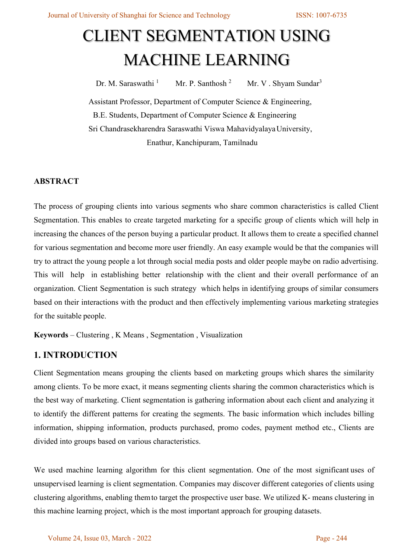# CLIENT SEGMENTATION USING MACHINE LEARNING

Dr. M. Saraswathi <sup>1</sup> Mr. P. Santhosh <sup>2</sup> Mr. V . Shyam Sundar<sup>3</sup>

Assistant Professor, Department of Computer Science & Engineering, B.E. Students, Department of Computer Science & Engineering Sri Chandrasekharendra Saraswathi Viswa MahavidyalayaUniversity, Enathur, Kanchipuram, Tamilnadu

## **ABSTRACT**

The process of grouping clients into various segments who share common characteristics is called Client Segmentation. This enables to create targeted marketing for a specific group of clients which will help in increasing the chances of the person buying a particular product. It allows them to create a specified channel for various segmentation and become more user friendly. An easy example would be that the companies will try to attract the young people a lot through social media posts and older people maybe on radio advertising. This will help in establishing better relationship with the client and their overall performance of an organization. Client Segmentation is such strategy which helps in identifying groups of similar consumers based on their interactions with the product and then effectively implementing various marketing strategies for the suitable people.

**Keywords** – Clustering , K Means , Segmentation , Visualization

# **1. INTRODUCTION**

Client Segmentation means grouping the clients based on marketing groups which shares the similarity among clients. To be more exact, it means segmenting clients sharing the common characteristics which is the best way of marketing. Client segmentation is gathering information about each client and analyzing it to identify the different patterns for creating the segments. The basic information which includes billing information, shipping information, products purchased, promo codes, payment method etc., Clients are divided into groups based on various characteristics.

We used machine learning algorithm for this client segmentation. One of the most significant uses of unsupervised learning is client segmentation. Companies may discover different categories of clients using clustering algorithms, enabling themto target the prospective user base. We utilized K- means clustering in this machine learning project, which is the most important approach for grouping datasets.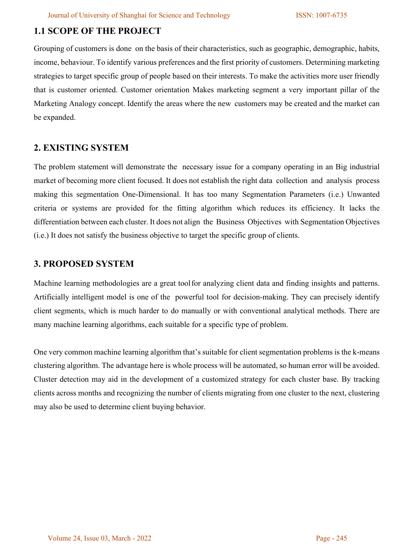# **1.1 SCOPE OF THE PROJECT**

Grouping of customers is done on the basis of their characteristics, such as geographic, demographic, habits, income, behaviour. To identify various preferences and the first priority of customers. Determining marketing strategies to target specific group of people based on their interests. To make the activities more user friendly that is customer oriented. Customer orientation Makes marketing segment a very important pillar of the Marketing Analogy concept. Identify the areas where the new customers may be created and the market can be expanded.

## **2. EXISTING SYSTEM**

The problem statement will demonstrate the necessary issue for a company operating in an Big industrial market of becoming more client focused. It does not establish the right data collection and analysis process making this segmentation One-Dimensional. It has too many Segmentation Parameters (i.e.) Unwanted criteria or systems are provided for the fitting algorithm which reduces its efficiency. It lacks the differentiation between each cluster. It does not align the Business Objectives with Segmentation Objectives (i.e.) It does not satisfy the business objective to target the specific group of clients.

## **3. PROPOSED SYSTEM**

Machine learning methodologies are a great toolfor analyzing client data and finding insights and patterns. Artificially intelligent model is one of the powerful tool for decision-making. They can precisely identify client segments, which is much harder to do manually or with conventional analytical methods. There are many machine learning algorithms, each suitable for a specific type of problem.

One very common machine learning algorithm that's suitable for client segmentation problems is the k-means clustering algorithm. The advantage here is whole process will be automated, so human error will be avoided. Cluster detection may aid in the development of a customized strategy for each cluster base. By tracking clients across months and recognizing the number of clients migrating from one cluster to the next, clustering may also be used to determine client buying behavior.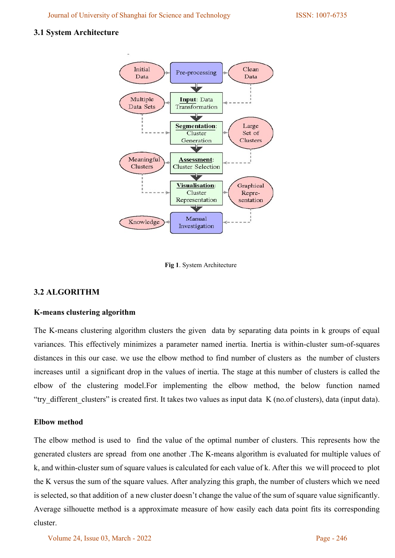Journal of University of Shanghai for Science and Technology ISSN: 1007-6735

#### **3.1 System Architecture**



 **Fig 1**. System Architecture

## **3.2 ALGORITHM**

#### **K-means clustering algorithm**

The K-means clustering algorithm clusters the given data by separating data points in k groups of equal variances. This effectively minimizes a parameter named inertia. Inertia is within-cluster sum-of-squares distances in this our case. we use the elbow method to find number of clusters as the number of clusters increases until a significant drop in the values of inertia. The stage at this number of clusters is called the elbow of the clustering model.For implementing the elbow method, the below function named "try\_different\_clusters" is created first. It takes two values as input data K (no.of clusters), data (input data).

#### **Elbow method**

The elbow method is used to find the value of the optimal number of clusters. This represents how the generated clusters are spread from one another .The K-means algorithm is evaluated for multiple values of k, and within-cluster sum of square values is calculated for each value of k. After this we will proceed to plot the K versus the sum of the square values. After analyzing this graph, the number of clusters which we need is selected, so that addition of a new cluster doesn't change the value of the sum of square value significantly. Average silhouette method is a approximate measure of how easily each data point fits its corresponding cluster.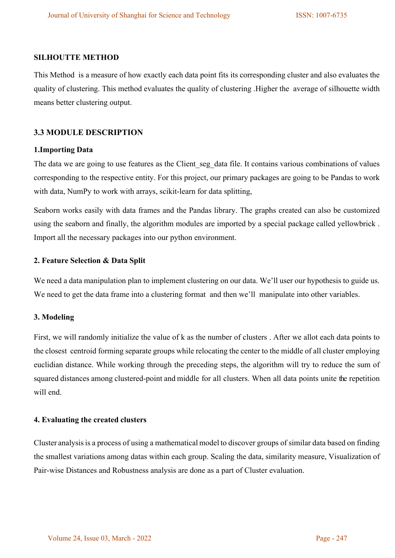#### **SILHOUTTE METHOD**

This Method is a measure of how exactly each data point fits its corresponding cluster and also evaluates the quality of clustering. This method evaluates the quality of clustering .Higher the average of silhouette width means better clustering output.

#### **3.3 MODULE DESCRIPTION**

#### **1.Importing Data**

The data we are going to use features as the Client seg data file. It contains various combinations of values corresponding to the respective entity. For this project, our primary packages are going to be Pandas to work with data, NumPy to work with arrays, scikit-learn for data splitting,

Seaborn works easily with data frames and the Pandas library. The graphs created can also be customized using the seaborn and finally, the algorithm modules are imported by a special package called yellowbrick . Import all the necessary packages into our python environment.

#### **2. Feature Selection & Data Split**

We need a data manipulation plan to implement clustering on our data. We'll user our hypothesis to guide us. We need to get the data frame into a clustering format and then we'll manipulate into other variables.

#### **3. Modeling**

First, we will randomly initialize the value of k as the number of clusters . After we allot each data points to the closest centroid forming separate groups while relocating the center to the middle of all cluster employing euclidian distance. While working through the preceding steps, the algorithm will try to reduce the sum of squared distances among clustered-point and middle for all clusters. When all data points unite the repetition will end.

#### **4. Evaluating the created clusters**

Cluster analysisis a process of using a mathematical model to discover groups of similar data based on finding the smallest variations among datas within each group. Scaling the data, similarity measure, Visualization of Pair-wise Distances and Robustness analysis are done as a part of Cluster evaluation.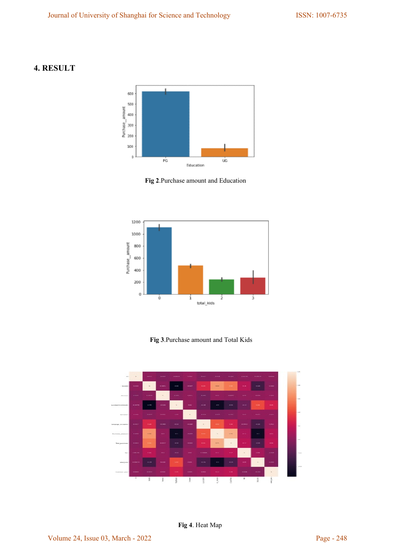## **4. RESULT**



**Fig 2**.Purchase amount and Education



**Fig 3**.Purchase amount and Total Kids

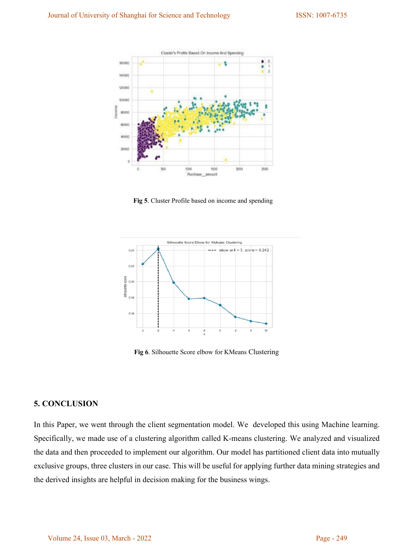

**Fig 5**. Cluster Profile based on income and spending



**Fig 6**. Silhouette Score elbow for KMeans Clustering

#### **5. CONCLUSION**

In this Paper, we went through the client segmentation model. We developed this using Machine learning. Specifically, we made use of a clustering algorithm called K-means clustering. We analyzed and visualized the data and then proceeded to implement our algorithm. Our model has partitioned client data into mutually exclusive groups, three clusters in our case. This will be useful for applying further data mining strategies and the derived insights are helpful in decision making for the business wings.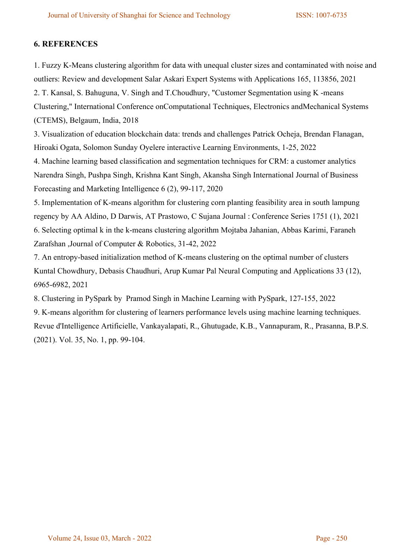## **6. REFERENCES**

1. Fuzzy K-Means clustering algorithm for data with unequal cluster sizes and contaminated with noise and outliers: Review and development Salar Askari Expert Systems with Applications 165, 113856, 2021 2. T. Kansal, S. Bahuguna, V. Singh and T.Choudhury, "Customer Segmentation using K -means Clustering," International Conference onComputational Techniques, Electronics andMechanical Systems (CTEMS), Belgaum, India, 2018

3. Visualization of education blockchain data: trends and challenges Patrick Ocheja, Brendan Flanagan, Hiroaki Ogata, Solomon Sunday Oyelere interactive Learning Environments, 1-25, 2022

4. Machine learning based classification and segmentation techniques for CRM: a customer analytics Narendra Singh, Pushpa Singh, Krishna Kant Singh, Akansha Singh International Journal of Business Forecasting and Marketing Intelligence 6 (2), 99-117, 2020

5. Implementation of K-means algorithm for clustering corn planting feasibility area in south lampung regency by AA Aldino, D Darwis, AT Prastowo, C Sujana Journal : Conference Series 1751 (1), 2021 6. Selecting optimal k in the k-means clustering algorithm Mojtaba Jahanian, Abbas Karimi, Faraneh Zarafshan ,Journal of Computer & Robotics, 31-42, 2022

7. An entropy-based initialization method of K-means clustering on the optimal number of clusters Kuntal Chowdhury, Debasis Chaudhuri, Arup Kumar Pal Neural Computing and Applications 33 (12), 6965-6982, 2021

8. Clustering in PySpark by Pramod Singh in Machine Learning with PySpark, 127-155, 2022

9. K-means algorithm for clustering of learners performance levels using machine learning techniques. Revue d'Intelligence Artificielle, Vankayalapati, R., Ghutugade, K.B., Vannapuram, R., Prasanna, B.P.S. (2021). Vol. 35, No. 1, pp. 99-104.